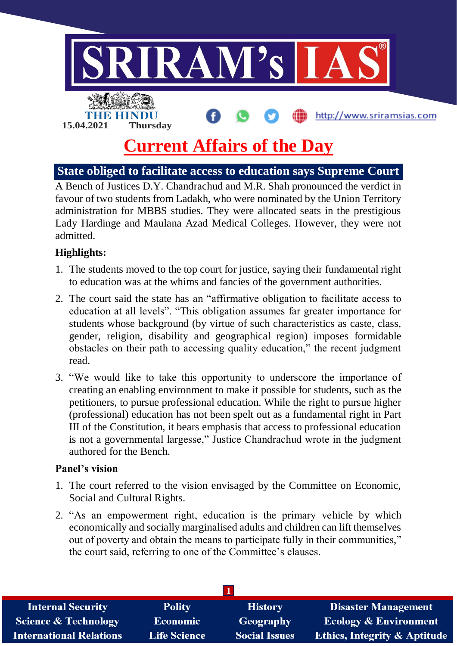

# **State obliged to facilitate access to education says Supreme Court**

A Bench of Justices D.Y. Chandrachud and M.R. Shah pronounced the verdict in favour of two students from Ladakh, who were nominated by the Union Territory administration for MBBS studies. They were allocated seats in the prestigious Lady Hardinge and Maulana Azad Medical Colleges. However, they were not admitted.

#### **Highlights:**

- 1. The students moved to the top court for justice, saying their fundamental right to education was at the whims and fancies of the government authorities.
- 2. The court said the state has an "affirmative obligation to facilitate access to education at all levels". "This obligation assumes far greater importance for students whose background (by virtue of such characteristics as caste, class, gender, religion, disability and geographical region) imposes formidable obstacles on their path to accessing quality education," the recent judgment read.
- 3. "We would like to take this opportunity to underscore the importance of creating an enabling environment to make it possible for students, such as the petitioners, to pursue professional education. While the right to pursue higher (professional) education has not been spelt out as a fundamental right in Part III of the Constitution, it bears emphasis that access to professional education is not a governmental largesse," Justice Chandrachud wrote in the judgment authored for the Bench.

#### **Panel's vision**

- 1. The court referred to the vision envisaged by the Committee on Economic, Social and Cultural Rights.
- 2. "As an empowerment right, education is the primary vehicle by which economically and socially marginalised adults and children can lift themselves out of poverty and obtain the means to participate fully in their communities," the court said, referring to one of the Committee's clauses.

| <b>Internal Security</b>        | <b>Polity</b>       | <b>History</b>       | <b>Disaster Management</b>              |
|---------------------------------|---------------------|----------------------|-----------------------------------------|
| <b>Science &amp; Technology</b> | <b>Economic</b>     | <b>Geography</b>     | <b>Ecology &amp; Environment</b>        |
| <b>International Relations</b>  | <b>Life Science</b> | <b>Social Issues</b> | <b>Ethics, Integrity &amp; Aptitude</b> |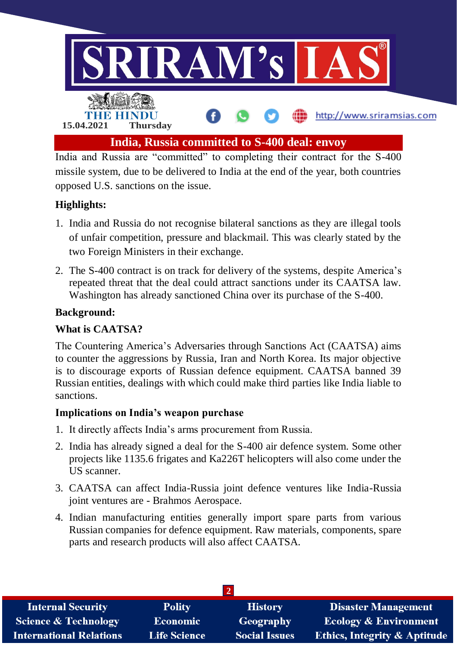

India and Russia are "committed" to completing their contract for the S-400 missile system, due to be delivered to India at the end of the year, both countries opposed U.S. sanctions on the issue.

## **Highlights:**

- 1. India and Russia do not recognise bilateral sanctions as they are illegal tools of unfair competition, pressure and blackmail. This was clearly stated by the two Foreign Ministers in their exchange.
- 2. The S-400 contract is on track for delivery of the systems, despite America's repeated threat that the deal could attract sanctions under its CAATSA law. Washington has already sanctioned China over its purchase of the S-400.

## **Background:**

#### **What is CAATSA?**

The Countering America's Adversaries through Sanctions Act (CAATSA) aims to counter the aggressions by Russia, Iran and North Korea. Its major objective is to discourage exports of Russian defence equipment. CAATSA banned 39 Russian entities, dealings with which could make third parties like India liable to sanctions.

#### **Implications on India's weapon purchase**

- 1. It directly affects India's arms procurement from Russia.
- 2. India has already signed a deal for the S-400 air defence system. Some other projects like 1135.6 frigates and Ka226T helicopters will also come under the US scanner.
- 3. CAATSA can affect India-Russia joint defence ventures like India-Russia joint ventures are - Brahmos Aerospace.
- 4. Indian manufacturing entities generally import spare parts from various Russian companies for defence equipment. Raw materials, components, spare parts and research products will also affect CAATSA.

| <b>Internal Security</b>        | <b>Polity</b>       | <b>History</b>       | <b>Disaster Management</b>              |  |  |  |
|---------------------------------|---------------------|----------------------|-----------------------------------------|--|--|--|
| <b>Science &amp; Technology</b> | <b>Economic</b>     | Geography            | <b>Ecology &amp; Environment</b>        |  |  |  |
| <b>International Relations</b>  | <b>Life Science</b> | <b>Social Issues</b> | <b>Ethics, Integrity &amp; Aptitude</b> |  |  |  |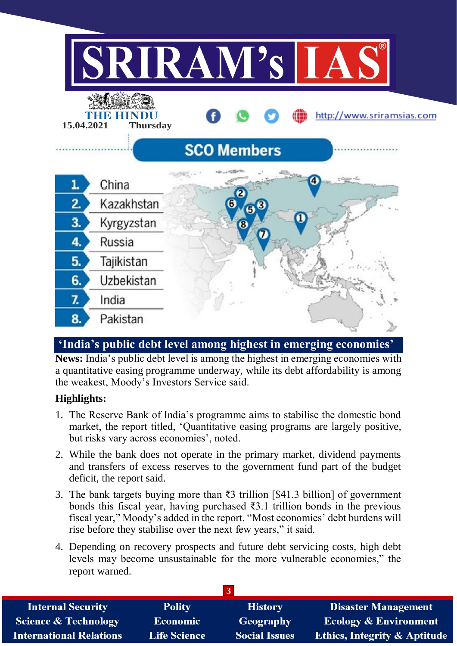

# **'India's public debt level among highest in emerging economies'**

**News:** India's public debt level is among the highest in emerging economies with a quantitative easing programme underway, while its debt affordability is among the weakest, Moody's Investors Service said.

## **Highlights:**

- 1. The Reserve Bank of India's programme aims to stabilise the domestic bond market, the report titled, 'Quantitative easing programs are largely positive, but risks vary across economies', noted.
- 2. While the bank does not operate in the primary market, dividend payments and transfers of excess reserves to the government fund part of the budget deficit, the report said.
- 3. The bank targets buying more than ₹3 trillion [\$41.3 billion] of government bonds this fiscal year, having purchased  $\overline{3}3.1$  trillion bonds in the previous fiscal year," Moody's added in the report. "Most economies' debt burdens will rise before they stabilise over the next few years," it said.
- 4. Depending on recovery prospects and future debt servicing costs, high debt levels may become unsustainable for the more vulnerable economies," the report warned.

| <b>Internal Security</b>        | <b>Polity</b>       | <b>History</b>       | <b>Disaster Management</b>              |  |  |
|---------------------------------|---------------------|----------------------|-----------------------------------------|--|--|
| <b>Science &amp; Technology</b> | <b>Economic</b>     | Geography            | <b>Ecology &amp; Environment</b>        |  |  |
| <b>International Relations</b>  | <b>Life Science</b> | <b>Social Issues</b> | <b>Ethics, Integrity &amp; Aptitude</b> |  |  |